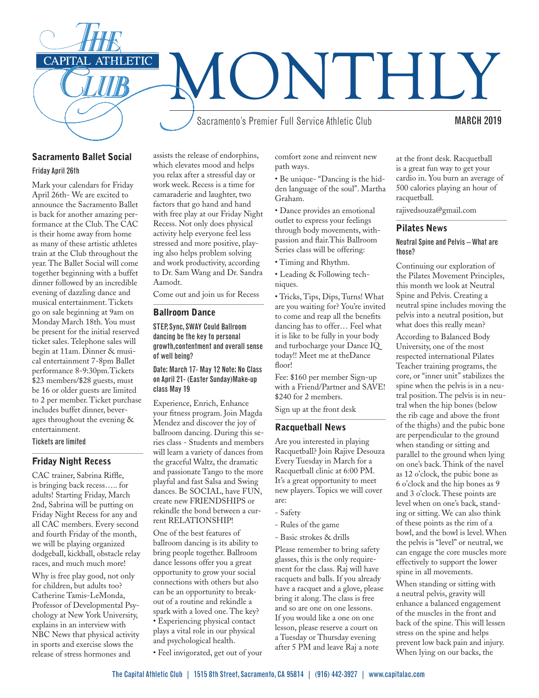

# Sacramento Ballet Social

Friday April 26th

Mark your calendars for Friday April 26th- We are excited to announce the Sacramento Ballet is back for another amazing performance at the Club. The CAC is their home away from home as many of these artistic athletes train at the Club throughout the year. The Ballet Social will come together beginning with a buffet dinner followed by an incredible evening of dazzling dance and musical entertainment. Tickets go on sale beginning at 9am on Monday March 18th. You must be present for the initial reserved ticket sales. Telephone sales will begin at 11am. Dinner & musical entertainment 7-8pm Ballet performance 8-9:30pm.Tickets \$23 members/\$28 guests, must be 16 or older guests are limited to 2 per member. Ticket purchase includes buffet dinner, beverages throughout the evening & entertainment.

Tickets are limited

# Friday Night Recess

CAC trainer, Sabrina Riffle, is bringing back recess….. for adults! Starting Friday, March 2nd, Sabrina will be putting on Friday Night Recess for any and all CAC members. Every second and fourth Friday of the month, we will be playing organized dodgeball, kickball, obstacle relay races, and much much more!

Why is free play good, not only for children, but adults too? Catherine Tamis-LeMonda, Professor of Developmental Psychology at New York University, explains in an interview with NBC News that physical activity in sports and exercise slows the release of stress hormones and

assists the release of endorphins, which elevates mood and helps you relax after a stressful day or work week. Recess is a time for camaraderie and laughter, two factors that go hand and hand with free play at our Friday Night Recess. Not only does physical activity help everyone feel less stressed and more positive, playing also helps problem solving and work productivity, according to Dr. Sam Wang and Dr. Sandra Aamodt.

Come out and join us for Recess

## Ballroom Dance

STEP, Sync, SWAY Could Ballroom dancing be the key to personal growth,contentment and overall sense of well being?

### Date: March 17- May 12 Note: No Class on April 21- (Easter Sunday)Make-up class May 19

Experience, Enrich, Enhance your fitness program. Join Magda Mendez and discover the joy of ballroom dancing. During this series class - Students and members will learn a variety of dances from the graceful Waltz, the dramatic and passionate Tango to the more playful and fast Salsa and Swing dances. Be SOCIAL, have FUN, create new FRIENDSHIPS or rekindle the bond between a current RELATIONSHIP!

One of the best features of ballroom dancing is its ability to bring people together. Ballroom dance lessons offer you a great opportunity to grow your social connections with others but also can be an opportunity to breakout of a routine and rekindle a spark with a loved one. The key? • Experiencing physical contact plays a vital role in our physical and psychological health.

• Feel invigorated, get out of your

comfort zone and reinvent new path ways.

• Be unique- "Dancing is the hidden language of the soul". Martha Graham.

• Dance provides an emotional outlet to express your feelings through body movements, withpassion and flair.This Ballroom Series class will be offering:

- Timing and Rhythm.
- Leading & Following techniques.

• Tricks, Tips, Dips, Turns! What are you waiting for? You're invited to come and reap all the benefits dancing has to offer… Feel what it is like to be fully in your body and turbocharge your Dance IQ today!! Meet me at theDance floor!

Fee: \$160 per member Sign-up with a Friend/Partner and SAVE! \$240 for 2 members.

Sign up at the front desk

## Racquetball News

Are you interested in playing Racquetball? Join Rajive Desouza Every Tuesday in March for a Racquetball clinic at 6:00 PM. It's a great opportunity to meet new players. Topics we will cover are:

- Safety
- Rules of the game
- Basic strokes & drills

Please remember to bring safety glasses, this is the only requirement for the class. Raj will have racquets and balls. If you already have a racquet and a glove, please bring it along. The class is free and so are one on one lessons. If you would like a one on one lesson, please reserve a court on a Tuesday or Thursday evening after 5 PM and leave Raj a note

at the front desk. Racquetball is a great fun way to get your cardio in. You burn an average of 500 calories playing an hour of racquetball.

rajivedsouza@gmail.com

## Pilates News

## Neutral Spine and Pelvis – What are those?

Continuing our exploration of the Pilates Movement Principles, this month we look at Neutral Spine and Pelvis. Creating a neutral spine includes moving the pelvis into a neutral position, but what does this really mean?

According to Balanced Body University, one of the most respected international Pilates Teacher training programs, the core, or "inner unit" stabilizes the spine when the pelvis is in a neutral position. The pelvis is in neutral when the hip bones (below the rib cage and above the front of the thighs) and the pubic bone are perpendicular to the ground when standing or sitting and parallel to the ground when lying on one's back. Think of the navel as 12 o'clock, the pubic bone as 6 o'clock and the hip bones as 9 and 3 o'clock. These points are level when on one's back, standing or sitting. We can also think of these points as the rim of a bowl, and the bowl is level. When the pelvis is "level" or neutral, we can engage the core muscles more effectively to support the lower spine in all movements.

When standing or sitting with a neutral pelvis, gravity will enhance a balanced engagement of the muscles in the front and back of the spine. This will lessen stress on the spine and helps prevent low back pain and injury. When lying on our backs, the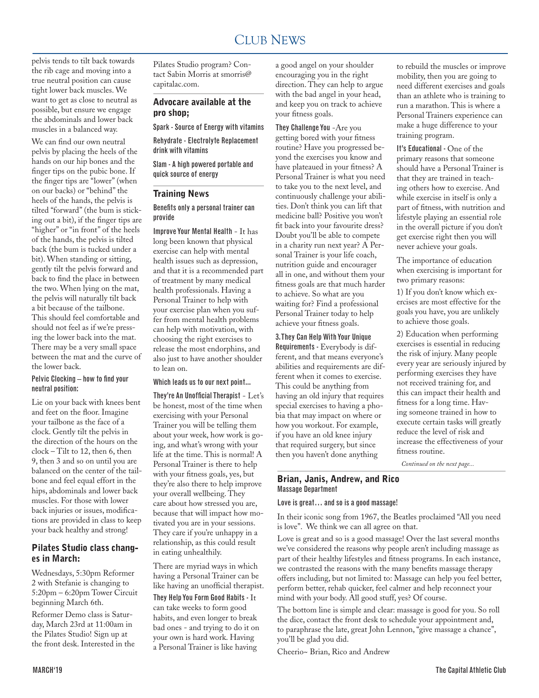#### CLUB NEWS 2000 FOR THE NEWS 2000 FOR THE NEWS 2000 FOR THE NEWS 2000 FOR THE NEWS 2000 FOR THE NEWS 2000 FOR THE NEWS 2000 FOR THE NEWS 2000 FOR THE NEWS 2000 FOR THE NEWS 2000 FOR THE NEWS 2000 FOR THE NEWS 2000 FOR THE N CLUB NEWS

pelvis tends to tilt back towards the rib cage and moving into a true neutral position can cause tight lower back muscles. We want to get as close to neutral as possible, but ensure we engage the abdominals and lower back muscles in a balanced way.

We can find our own neutral pelvis by placing the heels of the hands on our hip bones and the finger tips on the pubic bone. If the finger tips are "lower" (when on our backs) or "behind" the heels of the hands, the pelvis is tilted "forward" (the bum is sticking out a bit), if the finger tips are "higher" or "in front" of the heels of the hands, the pelvis is tilted back (the bum is tucked under a bit). When standing or sitting, gently tilt the pelvis forward and back to find the place in between the two. When lying on the mat, the pelvis will naturally tilt back a bit because of the tailbone. This should feel comfortable and should not feel as if we're pressing the lower back into the mat. There may be a very small space between the mat and the curve of the lower back.

## Pelvic Clocking – how to find your neutral position:

Lie on your back with knees bent and feet on the floor. Imagine your tailbone as the face of a clock. Gently tilt the pelvis in the direction of the hours on the clock – Tilt to 12, then 6, then 9, then 3 and so on until you are balanced on the center of the tailbone and feel equal effort in the hips, abdominals and lower back muscles. For those with lower back injuries or issues, modifications are provided in class to keep your back healthy and strong!

# Pilates Studio class changes in March:

Wednesdays, 5:30pm Reformer 2 with Stefanie is changing to 5:20pm – 6:20pm Tower Circuit beginning March 6th.

Reformer Demo class is Saturday, March 23rd at 11:00am in the Pilates Studio! Sign up at the front desk. Interested in the

Pilates Studio program? Contact Sabin Morris at smorris@ capitalac.com.

# Advocare available at the pro shop;

Spark - Source of Energy with vitamins Rehydrate - Electrolyte Replacement drink with vitamins

Slam - A high powered portable and quick source of energy

# Training News

## Benefits only a personal trainer can provide

Improve Your Mental Health - It has long been known that physical exercise can help with mental health issues such as depression, and that it is a recommended part of treatment by many medical health professionals. Having a Personal Trainer to help with your exercise plan when you suffer from mental health problems can help with motivation, with choosing the right exercises to release the most endorphins, and also just to have another shoulder to lean on.

## Which leads us to our next point...

They're An Unofficial Therapist - Let's be honest, most of the time when exercising with your Personal Trainer you will be telling them about your week, how work is going, and what's wrong with your life at the time. This is normal! A Personal Trainer is there to help with your fitness goals, yes, but they're also there to help improve your overall wellbeing. They care about how stressed you are, because that will impact how motivated you are in your sessions. They care if you're unhappy in a relationship, as this could result in eating unhealthily.

There are myriad ways in which having a Personal Trainer can be like having an unofficial therapist.

They Help You Form Good Habits - It can take weeks to form good habits, and even longer to break bad ones - and trying to do it on your own is hard work. Having a Personal Trainer is like having

a good angel on your shoulder encouraging you in the right direction. They can help to argue with the bad angel in your head, and keep you on track to achieve your fitness goals.

They Challenge You -Are you getting bored with your fitness routine? Have you progressed beyond the exercises you know and have plateaued in your fitness? A Personal Trainer is what you need to take you to the next level, and continuously challenge your abilities. Don't think you can lift that medicine ball? Positive you won't fit back into your favourite dress? Doubt you'll be able to compete in a charity run next year? A Personal Trainer is your life coach, nutrition guide and encourager all in one, and without them your fitness goals are that much harder to achieve. So what are you waiting for? Find a professional Personal Trainer today to help achieve your fitness goals.

## 3. They Can Help With Your Unique

Requirements - Everybody is different, and that means everyone's abilities and requirements are different when it comes to exercise. This could be anything from having an old injury that requires special exercises to having a phobia that may impact on where or how you workout. For example, if you have an old knee injury that required surgery, but since then you haven't done anything

to rebuild the muscles or improve mobility, then you are going to need different exercises and goals than an athlete who is training to run a marathon. This is where a Personal Trainers experience can make a huge difference to your training program.

It's Educational - One of the primary reasons that someone should have a Personal Trainer is that they are trained in teaching others how to exercise. And while exercise in itself is only a part of fitness, with nutrition and lifestyle playing an essential role in the overall picture if you don't get exercise right then you will never achieve your goals.

The importance of education when exercising is important for two primary reasons:

1) If you don't know which exercises are most effective for the goals you have, you are unlikely to achieve those goals.

2) Education when performing exercises is essential in reducing the risk of injury. Many people every year are seriously injured by performing exercises they have not received training for, and this can impact their health and fitness for a long time. Having someone trained in how to execute certain tasks will greatly reduce the level of risk and increase the effectiveness of your fitness routine.

*Continued on the next page...*

## Brian, Janis, Andrew, and Rico Massage Department

#### Love is great… and so is a good massage!

In their iconic song from 1967, the Beatles proclaimed "All you need is love". We think we can all agree on that.

Love is great and so is a good massage! Over the last several months we've considered the reasons why people aren't including massage as part of their healthy lifestyles and fitness programs. In each instance, we contrasted the reasons with the many benefits massage therapy offers including, but not limited to: Massage can help you feel better, perform better, rehab quicker, feel calmer and help reconnect your mind with your body. All good stuff, yes? Of course.

The bottom line is simple and clear: massage is good for you. So roll the dice, contact the front desk to schedule your appointment and, to paraphrase the late, great John Lennon, "give massage a chance", you'll be glad you did.

Cheerio~ Brian, Rico and Andrew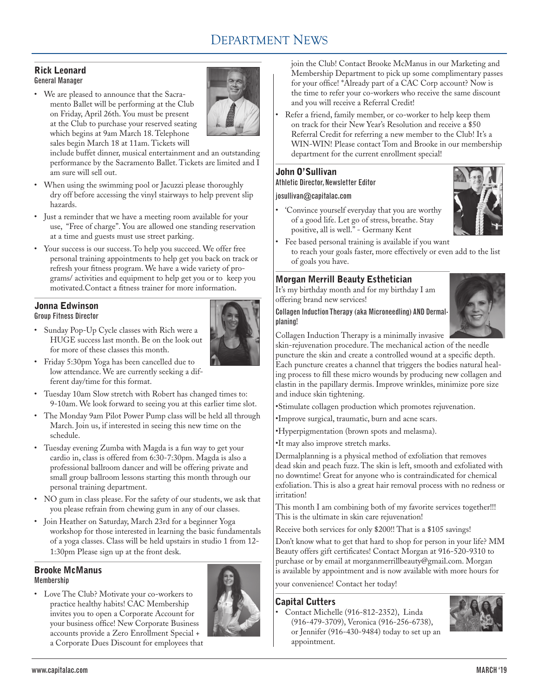# DEPARTMENT NEWS

## Rick Leonard General Manager

• We are pleased to announce that the Sacramento Ballet will be performing at the Club on Friday, April 26th. You must be present at the Club to purchase your reserved seating which begins at 9am March 18. Telephone sales begin March 18 at 11am. Tickets will



include buffet dinner, musical entertainment and an outstanding performance by the Sacramento Ballet. Tickets are limited and I am sure will sell out.

- When using the swimming pool or Jacuzzi please thoroughly dry off before accessing the vinyl stairways to help prevent slip hazards.
- Just a reminder that we have a meeting room available for your use, "Free of charge". You are allowed one standing reservation at a time and guests must use street parking.
- Your success is our success. To help you succeed. We offer free personal training appointments to help get you back on track or refresh your fitness program. We have a wide variety of programs/ activities and equipment to help get you or to keep you motivated.Contact a fitness trainer for more information.

# Jonna Edwinson

Group Fitness Director

• Sunday Pop-Up Cycle classes with Rich were a HUGE success last month. Be on the look out for more of these classes this month.



- Friday 5:30pm Yoga has been cancelled due to low attendance. We are currently seeking a different day/time for this format.
- Tuesday 10am Slow stretch with Robert has changed times to: 9-10am. We look forward to seeing you at this earlier time slot.
- The Monday 9am Pilot Power Pump class will be held all through March. Join us, if interested in seeing this new time on the schedule.
- Tuesday evening Zumba with Magda is a fun way to get your cardio in, class is offered from 6:30-7:30pm. Magda is also a professional ballroom dancer and will be offering private and small group ballroom lessons starting this month through our personal training department.
- NO gum in class please. For the safety of our students, we ask that you please refrain from chewing gum in any of our classes.
- Join Heather on Saturday, March 23rd for a beginner Yoga workshop for those interested in learning the basic fundamentals of a yoga classes. Class will be held upstairs in studio 1 from 12- 1:30pm Please sign up at the front desk.

# Brooke McManus

Membership

• Love The Club? Motivate your co-workers to practice healthy habits! CAC Membership invites you to open a Corporate Account for your business office! New Corporate Business accounts provide a Zero Enrollment Special + a Corporate Dues Discount for employees that



join the Club! Contact Brooke McManus in our Marketing and Membership Department to pick up some complimentary passes for your office! \*Already part of a CAC Corp account? Now is the time to refer your co-workers who receive the same discount and you will receive a Referral Credit!

Refer a friend, family member, or co-worker to help keep them on track for their New Year's Resolution and receive a \$50 Referral Credit for referring a new member to the Club! It's a WIN-WIN! Please contact Tom and Brooke in our membership department for the current enrollment special!

# John O'Sullivan

Athletic Director, Newsletter Editor

# josullivan@capitalac.com

• 'Convince yourself everyday that you are worthy of a good life. Let go of stress, breathe. Stay positive, all is well." - Germany Kent



Fee based personal training is available if you want to reach your goals faster, more effectively or even add to the list of goals you have.

# Morgan Merrill Beauty Esthetician

It's my birthday month and for my birthday I am offering brand new services!

## Collagen Induction Therapy (aka Microneedling) AND Dermalplaning!



Collagen Induction Therapy is a minimally invasive

skin-rejuvenation procedure. The mechanical action of the needle puncture the skin and create a controlled wound at a specific depth. Each puncture creates a channel that triggers the bodies natural healing process to fill these micro wounds by producing new collagen and elastin in the papillary dermis. Improve wrinkles, minimize pore size and induce skin tightening.

•Stimulate collagen production which promotes rejuvenation.

- •Improve surgical, traumatic, burn and acne scars.
- •Hyperpigmentation (brown spots and melasma).

•It may also improve stretch marks.

Dermalplanning is a physical method of exfoliation that removes dead skin and peach fuzz. The skin is left, smooth and exfoliated with no downtime! Great for anyone who is contraindicated for chemical exfoliation. This is also a great hair removal process with no redness or irritation!

This month I am combining both of my favorite services together!!! This is the ultimate in skin care rejuvenation!

Receive both services for only \$200!! That is a \$105 savings!

Don't know what to get that hard to shop for person in your life? MM Beauty offers gift certificates! Contact Morgan at 916-520-9310 to purchase or by email at morganmerrillbeauty@gmail.com. Morgan is available by appointment and is now available with more hours for

your convenience! Contact her today!

# Capital Cutters

• Contact Michelle (916-812-2352), Linda (916-479-3709), Veronica (916-256-6738), or Jennifer (916-430-9484) today to set up an appointment.